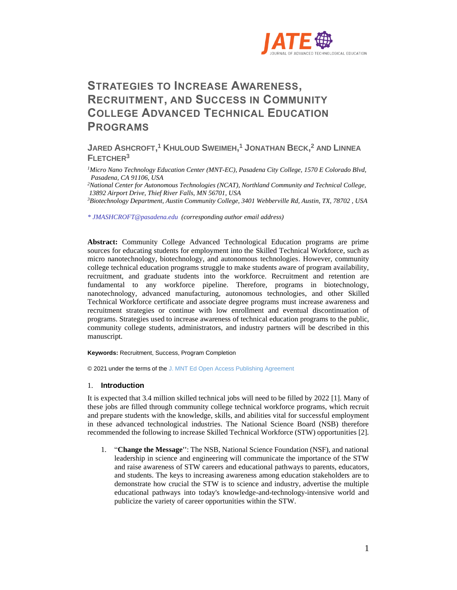

# **STRATEGIES TO INCREASE AWARENESS, RECRUITMENT, AND SUCCESS IN COMMUNITY COLLEGE ADVANCED TECHNICAL EDUCATION PROGRAMS**

**JARED ASHCROFT, <sup>1</sup> KHULOUD SWEIMEH, <sup>1</sup> JONATHAN BECK, <sup>2</sup> AND LINNEA FLETCHER<sup>3</sup>**

*<sup>1</sup>Micro Nano Technology Education Center (MNT-EC), Pasadena City College, 1570 E Colorado Blvd, Pasadena, CA 91106, USA*

*<sup>2</sup>National Center for Autonomous Technologies (NCAT), Northland Community and Technical College, 13892 Airport Drive, Thief River Falls, MN 56701, USA*

*<sup>3</sup>Biotechnology Department, Austin Community College, 3401 Webberville Rd, Austin, TX, 78702 , USA*

*\* JMASHCROFT@pasadena.edu (corresponding author email address)*

**Abstract:** Community College Advanced Technological Education programs are prime sources for educating students for employment into the Skilled Technical Workforce, such as micro nanotechnology, biotechnology, and autonomous technologies. However, community college technical education programs struggle to make students aware of program availability, recruitment, and graduate students into the workforce. Recruitment and retention are fundamental to any workforce pipeline. Therefore, programs in biotechnology, nanotechnology, advanced manufacturing, autonomous technologies, and other Skilled Technical Workforce certificate and associate degree programs must increase awareness and recruitment strategies or continue with low enrollment and eventual discontinuation of programs. Strategies used to increase awareness of technical education programs to the public, community college students, administrators, and industry partners will be described in this manuscript.

**Keywords:** Recruitment, Success, Program Completion

© 2021 under the terms of the J. MNT Ed Open Access Publishing Agreement

### 1. **Introduction**

It is expected that 3.4 million skilled technical jobs will need to be filled by 2022 [1]. Many of these jobs are filled through community college technical workforce programs, which recruit and prepare students with the knowledge, skills, and abilities vital for successful employment in these advanced technological industries. The National Science Board (NSB) therefore recommended the following to increase Skilled Technical Workforce (STW) opportunities [2].

1. "**Change the Message''**: The NSB, National Science Foundation (NSF), and national leadership in science and engineering will communicate the importance of the STW and raise awareness of STW careers and educational pathways to parents, educators, and students. The keys to increasing awareness among education stakeholders are to demonstrate how crucial the STW is to science and industry, advertise the multiple educational pathways into today's knowledge-and-technology-intensive world and publicize the variety of career opportunities within the STW.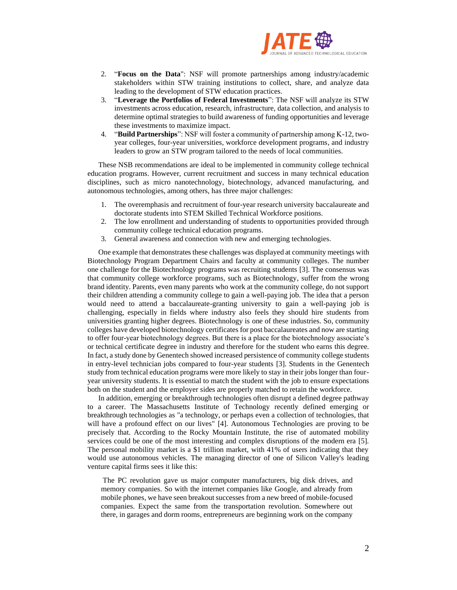

- 2. "**Focus on the Data**": NSF will promote partnerships among industry/academic stakeholders within STW training institutions to collect, share, and analyze data leading to the development of STW education practices.
- 3. "**Leverage the Portfolios of Federal Investments**": The NSF will analyze its STW investments across education, research, infrastructure, data collection, and analysis to determine optimal strategies to build awareness of funding opportunities and leverage these investments to maximize impact.
- 4. "**Build Partnerships**": NSF will foster a community of partnership among K-12, twoyear colleges, four-year universities, workforce development programs, and industry leaders to grow an STW program tailored to the needs of local communities.

These NSB recommendations are ideal to be implemented in community college technical education programs. However, current recruitment and success in many technical education disciplines, such as micro nanotechnology, biotechnology, advanced manufacturing, and autonomous technologies, among others, has three major challenges:

- 1. The overemphasis and recruitment of four-year research university baccalaureate and doctorate students into STEM Skilled Technical Workforce positions.
- 2. The low enrollment and understanding of students to opportunities provided through community college technical education programs.
- 3. General awareness and connection with new and emerging technologies.

One example that demonstrates these challenges was displayed at community meetings with Biotechnology Program Department Chairs and faculty at community colleges. The number one challenge for the Biotechnology programs was recruiting students [3]. The consensus was that community college workforce programs, such as Biotechnology, suffer from the wrong brand identity. Parents, even many parents who work at the community college, do not support their children attending a community college to gain a well-paying job. The idea that a person would need to attend a baccalaureate-granting university to gain a well-paying job is challenging, especially in fields where industry also feels they should hire students from universities granting higher degrees. Biotechnology is one of these industries. So, community colleges have developed biotechnology certificates for post baccalaureates and now are starting to offer four-year biotechnology degrees. But there is a place for the biotechnology associate's or technical certificate degree in industry and therefore for the student who earns this degree. In fact, a study done by Genentech showed increased persistence of community college students in entry-level technician jobs compared to four-year students [3]. Students in the Genentech study from technical education programs were more likely to stay in their jobs longer than fouryear university students. It is essential to match the student with the job to ensure expectations both on the student and the employer sides are properly matched to retain the workforce.

In addition, emerging or breakthrough technologies often disrupt a defined degree pathway to a career. The Massachusetts Institute of Technology recently defined emerging or breakthrough technologies as "a technology, or perhaps even a collection of technologies, that will have a profound effect on our lives" [4]. Autonomous Technologies are proving to be precisely that. According to the Rocky Mountain Institute, the rise of automated mobility services could be one of the most interesting and complex disruptions of the modern era [5]. The personal mobility market is a \$1 trillion market, with 41% of users indicating that they would use autonomous vehicles. The managing director of one of Silicon Valley's leading venture capital firms sees it like this:

The PC revolution gave us major computer manufacturers, big disk drives, and memory companies. So with the internet companies like Google, and already from mobile phones, we have seen breakout successes from a new breed of mobile-focused companies. Expect the same from the transportation revolution. Somewhere out there, in garages and dorm rooms, entrepreneurs are beginning work on the company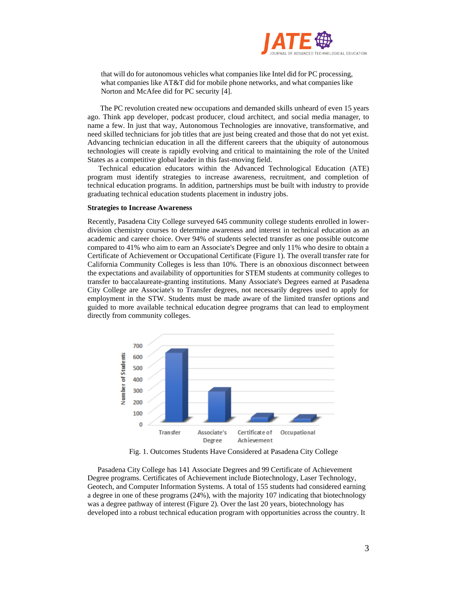

that will do for autonomous vehicles what companies like Intel did for PC processing, what companies like AT&T did for mobile phone networks, and what companies like Norton and McAfee did for PC security [4].

The PC revolution created new occupations and demanded skills unheard of even 15 years ago. Think app developer, podcast producer, cloud architect, and social media manager, to name a few. In just that way, Autonomous Technologies are innovative, transformative, and need skilled technicians for job titles that are just being created and those that do not yet exist. Advancing technician education in all the different careers that the ubiquity of autonomous technologies will create is rapidly evolving and critical to maintaining the role of the United States as a competitive global leader in this fast-moving field.

Technical education educators within the Advanced Technological Education (ATE) program must identify strategies to increase awareness, recruitment, and completion of technical education programs. In addition, partnerships must be built with industry to provide graduating technical education students placement in industry jobs.

# **Strategies to Increase Awareness**

Recently, Pasadena City College surveyed 645 community college students enrolled in lowerdivision chemistry courses to determine awareness and interest in technical education as an academic and career choice. Over 94% of students selected transfer as one possible outcome compared to 41% who aim to earn an Associate's Degree and only 11% who desire to obtain a Certificate of Achievement or Occupational Certificate (Figure 1). The overall transfer rate for California Community Colleges is less than 10%. There is an obnoxious disconnect between the expectations and availability of opportunities for STEM students at community colleges to transfer to baccalaureate-granting institutions. Many Associate's Degrees earned at Pasadena City College are Associate's to Transfer degrees, not necessarily degrees used to apply for employment in the STW. Students must be made aware of the limited transfer options and guided to more available technical education degree programs that can lead to employment directly from community colleges.



Fig. 1. Outcomes Students Have Considered at Pasadena City College

Pasadena City College has 141 Associate Degrees and 99 Certificate of Achievement Degree programs. Certificates of Achievement include Biotechnology, Laser Technology, Geotech, and Computer Information Systems. A total of 155 students had considered earning a degree in one of these programs (24%), with the majority 107 indicating that biotechnology was a degree pathway of interest (Figure 2). Over the last 20 years, biotechnology has developed into a robust technical education program with opportunities across the country. It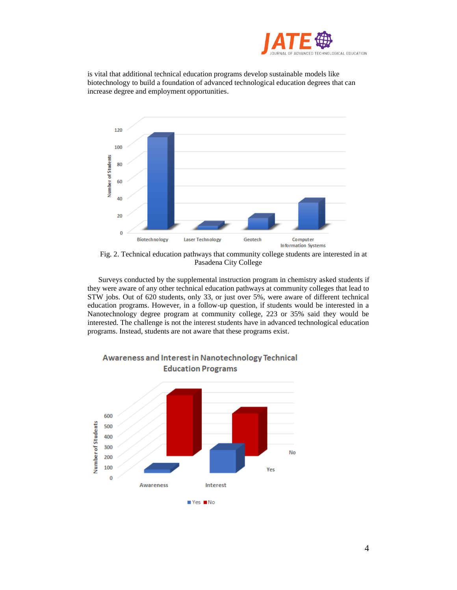

is vital that additional technical education programs develop sustainable models like biotechnology to build a foundation of advanced technological education degrees that can increase degree and employment opportunities.



Fig. 2. Technical education pathways that community college students are interested in at Pasadena City College

Surveys conducted by the supplemental instruction program in chemistry asked students if they were aware of any other technical education pathways at community colleges that lead to STW jobs. Out of 620 students, only 33, or just over 5%, were aware of different technical education programs. However, in a follow-up question, if students would be interested in a Nanotechnology degree program at community college, 223 or 35% said they would be interested. The challenge is not the interest students have in advanced technological education programs. Instead, students are not aware that these programs exist.



# **Awareness and Interest in Nanotechnology Technical Education Programs**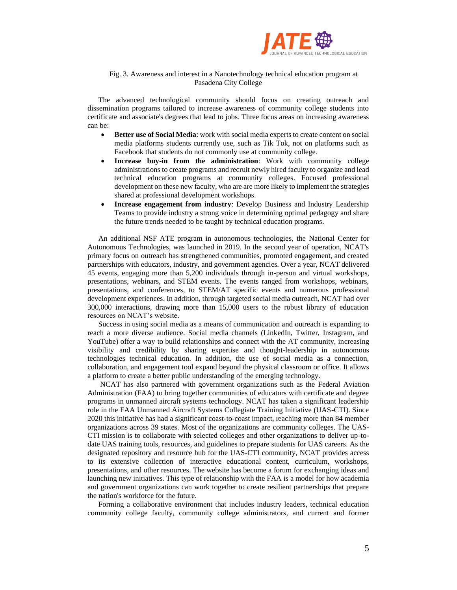

# Fig. 3. Awareness and interest in a Nanotechnology technical education program at Pasadena City College

The advanced technological community should focus on creating outreach and dissemination programs tailored to increase awareness of community college students into certificate and associate's degrees that lead to jobs. Three focus areas on increasing awareness can be:

- **Better use of Social Media**: work with social media experts to create content on social media platforms students currently use, such as Tik Tok, not on platforms such as Facebook that students do not commonly use at community college.
- **Increase buy-in from the administration**: Work with community college administrations to create programs and recruit newly hired faculty to organize and lead technical education programs at community colleges. Focused professional development on these new faculty, who are are more likely to implement the strategies shared at professional development workshops.
- **Increase engagement from industry**: Develop Business and Industry Leadership Teams to provide industry a strong voice in determining optimal pedagogy and share the future trends needed to be taught by technical education programs.

An additional NSF ATE program in autonomous technologies, the National Center for Autonomous Technologies, was launched in 2019. In the second year of operation, NCAT's primary focus on outreach has strengthened communities, promoted engagement, and created partnerships with educators, industry, and government agencies. Over a year, NCAT delivered 45 events, engaging more than 5,200 individuals through in-person and virtual workshops, presentations, webinars, and STEM events. The events ranged from workshops, webinars, presentations, and conferences, to STEM/AT specific events and numerous professional development experiences. In addition, through targeted social media outreach, NCAT had over 300,000 interactions, drawing more than 15,000 users to the robust library of education resources on NCAT's website.

Success in using social media as a means of communication and outreach is expanding to reach a more diverse audience. Social media channels (LinkedIn, Twitter, Instagram, and YouTube) offer a way to build relationships and connect with the AT community, increasing visibility and credibility by sharing expertise and thought-leadership in autonomous technologies technical education. In addition, the use of social media as a connection, collaboration, and engagement tool expand beyond the physical classroom or office. It allows a platform to create a better public understanding of the emerging technology.

NCAT has also partnered with government organizations such as the Federal Aviation Administration (FAA) to bring together communities of educators with certificate and degree programs in unmanned aircraft systems technology. NCAT has taken a significant leadership role in the FAA Unmanned Aircraft Systems Collegiate Training Initiative (UAS-CTI). Since 2020 this initiative has had a significant coast-to-coast impact, reaching more than 84 member organizations across 39 states. Most of the organizations are community colleges. The UAS-CTI mission is to collaborate with selected colleges and other organizations to deliver up-todate UAS training tools, resources, and guidelines to prepare students for UAS careers. As the designated repository and resource hub for the UAS-CTI community, NCAT provides access to its extensive collection of interactive educational content, curriculum, workshops, presentations, and other resources. The website has become a forum for exchanging ideas and launching new initiatives. This type of relationship with the FAA is a model for how academia and government organizations can work together to create resilient partnerships that prepare the nation's workforce for the future.

Forming a collaborative environment that includes industry leaders, technical education community college faculty, community college administrators, and current and former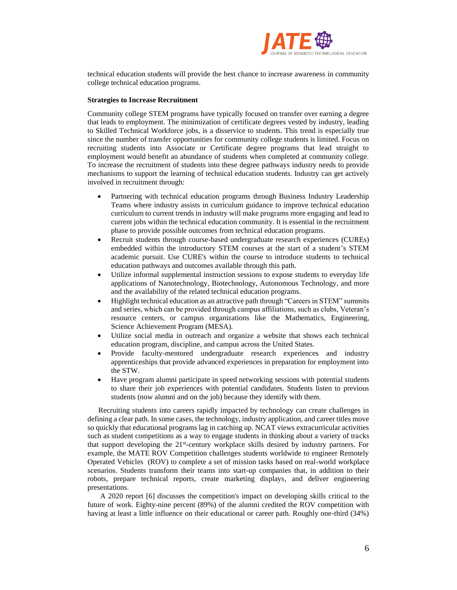

technical education students will provide the best chance to increase awareness in community college technical education programs.

### **Strategies to Increase Recruitment**

Community college STEM programs have typically focused on transfer over earning a degree that leads to employment. The minimization of certificate degrees vested by industry, leading to Skilled Technical Workforce jobs, is a disservice to students. This trend is especially true since the number of transfer opportunities for community college students is limited. Focus on recruiting students into Associate or Certificate degree programs that lead straight to employment would benefit an abundance of students when completed at community college. To increase the recruitment of students into these degree pathways industry needs to provide mechanisms to support the learning of technical education students. Industry can get actively involved in recruitment through:

- Partnering with technical education programs through Business Industry Leadership Teams where industry assists in curriculum guidance to improve technical education curriculum to current trends in industry will make programs more engaging and lead to current jobs within the technical education community. It is essential in the recruitment phase to provide possible outcomes from technical education programs.
- Recruit students through course-based undergraduate research experiences (CUREs) embedded within the introductory STEM courses at the start of a student's STEM academic pursuit. Use CURE's within the course to introduce students to technical education pathways and outcomes available through this path.
- Utilize informal supplemental instruction sessions to expose students to everyday life applications of Nanotechnology, Biotechnology, Autonomous Technology, and more and the availability of the related technical education programs.
- Highlight technical education as an attractive path through "Careers in STEM" summits and series, which can be provided through campus affiliations, such as clubs, Veteran's resource centers, or campus organizations like the Mathematics, Engineering, Science Achievement Program (MESA).
- Utilize social media in outreach and organize a website that shows each technical education program, discipline, and campus across the United States.
- Provide faculty-mentored undergraduate research experiences and industry apprenticeships that provide advanced experiences in preparation for employment into the STW.
- Have program alumni participate in speed networking sessions with potential students to share their job experiences with potential candidates. Students listen to previous students (now alumni and on the job) because they identify with them.

Recruiting students into careers rapidly impacted by technology can create challenges in defining a clear path. In some cases, the technology, industry application, and career titles move so quickly that educational programs lag in catching up. NCAT views extracurricular activities such as student competitions as a way to engage students in thinking about a variety of tracks that support developing the 21<sup>st</sup>-century workplace skills desired by industry partners. For example, the MATE ROV Competition challenges students worldwide to engineer Remotely Operated Vehicles (ROV) to complete a set of mission tasks based on real-world workplace scenarios. Students transform their teams into start-up companies that, in addition to their robots, prepare technical reports, create marketing displays, and deliver engineering presentations.

A 2020 report [6] discusses the competition's impact on developing skills critical to the future of work. Eighty-nine percent (89%) of the alumni credited the ROV competition with having at least a little influence on their educational or career path. Roughly one-third (34%)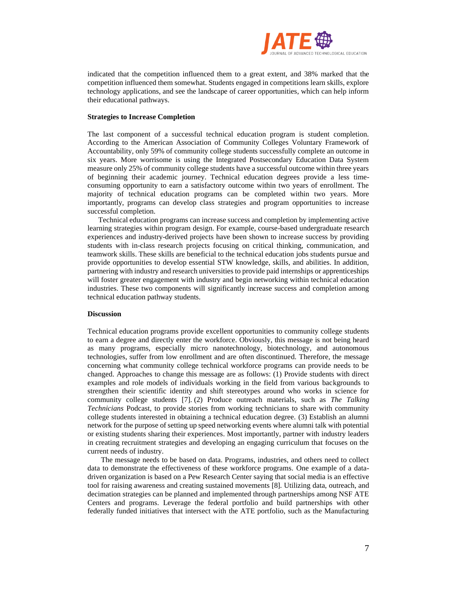

indicated that the competition influenced them to a great extent, and 38% marked that the competition influenced them somewhat. Students engaged in competitions learn skills, explore technology applications, and see the landscape of career opportunities, which can help inform their educational pathways.

#### **Strategies to Increase Completion**

The last component of a successful technical education program is student completion. According to the American Association of Community Colleges Voluntary Framework of Accountability, only 59% of community college students successfully complete an outcome in six years. More worrisome is using the Integrated Postsecondary Education Data System measure only 25% of community college students have a successful outcome within three years of beginning their academic journey. Technical education degrees provide a less timeconsuming opportunity to earn a satisfactory outcome within two years of enrollment. The majority of technical education programs can be completed within two years. More importantly, programs can develop class strategies and program opportunities to increase successful completion.

Technical education programs can increase success and completion by implementing active learning strategies within program design. For example, course-based undergraduate research experiences and industry-derived projects have been shown to increase success by providing students with in-class research projects focusing on critical thinking, communication, and teamwork skills. These skills are beneficial to the technical education jobs students pursue and provide opportunities to develop essential STW knowledge, skills, and abilities. In addition, partnering with industry and research universities to provide paid internships or apprenticeships will foster greater engagement with industry and begin networking within technical education industries. These two components will significantly increase success and completion among technical education pathway students.

# **Discussion**

Technical education programs provide excellent opportunities to community college students to earn a degree and directly enter the workforce. Obviously, this message is not being heard as many programs, especially micro nanotechnology, biotechnology, and autonomous technologies, suffer from low enrollment and are often discontinued. Therefore, the message concerning what community college technical workforce programs can provide needs to be changed. Approaches to change this message are as follows: (1) Provide students with direct examples and role models of individuals working in the field from various backgrounds to strengthen their scientific identity and shift stereotypes around who works in science for community college students [7]. (2) Produce outreach materials, such as *The Talking Technicians* Podcast, to provide stories from working technicians to share with community college students interested in obtaining a technical education degree. (3) Establish an alumni network for the purpose of setting up speed networking events where alumni talk with potential or existing students sharing their experiences. Most importantly, partner with industry leaders in creating recruitment strategies and developing an engaging curriculum that focuses on the current needs of industry.

The message needs to be based on data. Programs, industries, and others need to collect data to demonstrate the effectiveness of these workforce programs. One example of a datadriven organization is based on a Pew Research Center saying that social media is an effective tool for raising awareness and creating sustained movements [8]. Utilizing data, outreach, and decimation strategies can be planned and implemented through partnerships among NSF ATE Centers and programs. Leverage the federal portfolio and build partnerships with other federally funded initiatives that intersect with the ATE portfolio, such as the Manufacturing